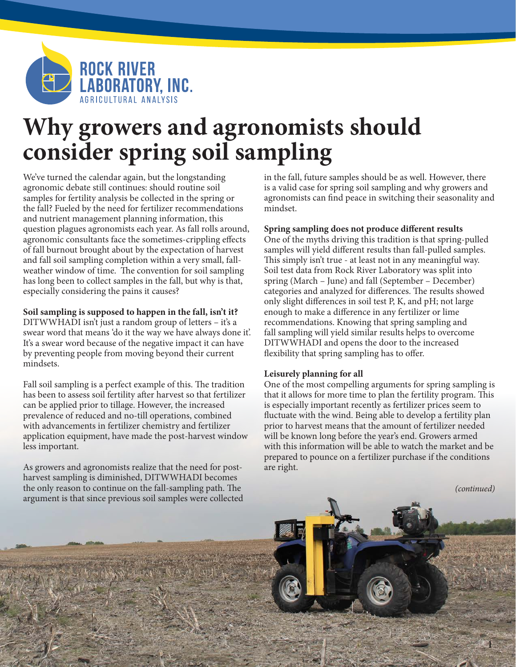

# **Why growers and agronomists should consider spring soil sampling**

We've turned the calendar again, but the longstanding agronomic debate still continues: should routine soil samples for fertility analysis be collected in the spring or the fall? Fueled by the need for fertilizer recommendations and nutrient management planning information, this question plagues agronomists each year. As fall rolls around, agronomic consultants face the sometimes-crippling effects of fall burnout brought about by the expectation of harvest and fall soil sampling completion within a very small, fallweather window of time. The convention for soil sampling has long been to collect samples in the fall, but why is that, especially considering the pains it causes?

## **Soil sampling is supposed to happen in the fall, isn't it?**

DITWWHADI isn't just a random group of letters – it's a swear word that means 'do it the way we have always done it'. It's a swear word because of the negative impact it can have by preventing people from moving beyond their current mindsets.

Fall soil sampling is a perfect example of this. The tradition has been to assess soil fertility after harvest so that fertilizer can be applied prior to tillage. However, the increased prevalence of reduced and no-till operations, combined with advancements in fertilizer chemistry and fertilizer application equipment, have made the post-harvest window less important.

As growers and agronomists realize that the need for postharvest sampling is diminished, DITWWHADI becomes the only reason to continue on the fall-sampling path. The argument is that since previous soil samples were collected in the fall, future samples should be as well. However, there is a valid case for spring soil sampling and why growers and agronomists can find peace in switching their seasonality and mindset.

## **Spring sampling does not produce different results**

One of the myths driving this tradition is that spring-pulled samples will yield different results than fall-pulled samples. This simply isn't true - at least not in any meaningful way. Soil test data from Rock River Laboratory was split into spring (March – June) and fall (September – December) categories and analyzed for differences. The results showed only slight differences in soil test P, K, and pH; not large enough to make a difference in any fertilizer or lime recommendations. Knowing that spring sampling and fall sampling will yield similar results helps to overcome DITWWHADI and opens the door to the increased flexibility that spring sampling has to offer.

## **Leisurely planning for all**

One of the most compelling arguments for spring sampling is that it allows for more time to plan the fertility program. This is especially important recently as fertilizer prices seem to fluctuate with the wind. Being able to develop a fertility plan prior to harvest means that the amount of fertilizer needed will be known long before the year's end. Growers armed with this information will be able to watch the market and be prepared to pounce on a fertilizer purchase if the conditions are right.

*(continued)*

1